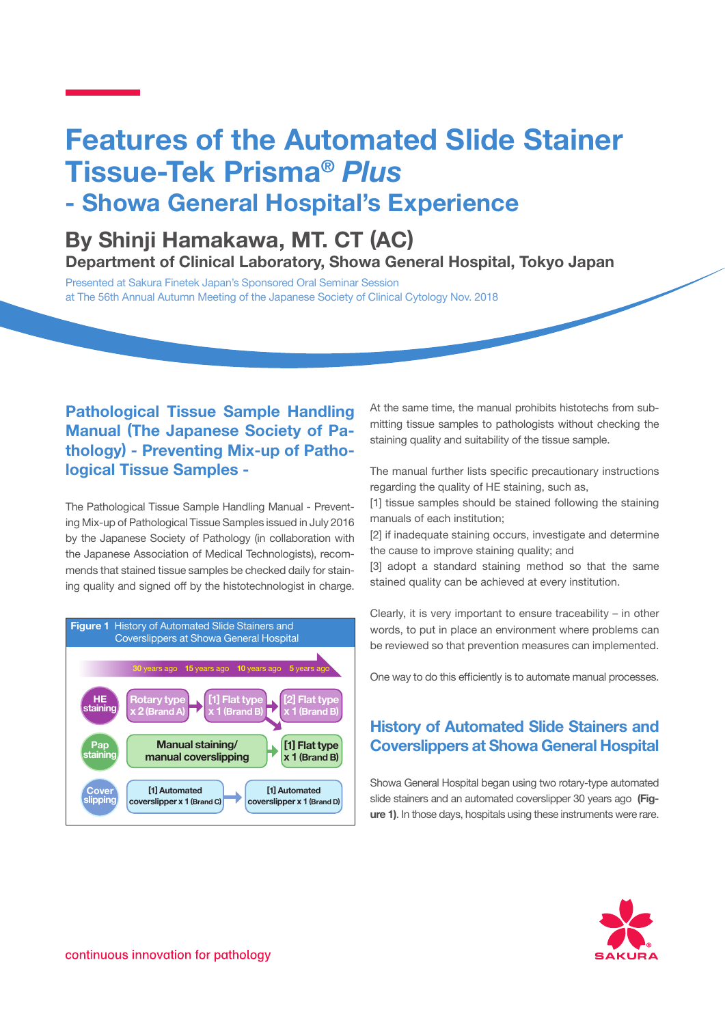# **Features of the Automated Slide Stainer Tissue-Tek Prisma®** *Plus*

# **- Showa General Hospital's Experience**

# **By Shinji Hamakawa, MT. CT (AC) Department of Clinical Laboratory, Showa General Hospital, Tokyo Japan**

Presented at Sakura Finetek Japan's Sponsored Oral Seminar Session at The 56th Annual Autumn Meeting of the Japanese Society of Clinical Cytology Nov. 2018

## **Pathological Tissue Sample Handling Manual (The Japanese Society of Pathology) - Preventing Mix-up of Pathological Tissue Samples -**

The Pathological Tissue Sample Handling Manual - Preventing Mix-up of Pathological Tissue Samples issued in July 2016 by the Japanese Society of Pathology (in collaboration with the Japanese Association of Medical Technologists), recommends that stained tissue samples be checked daily for staining quality and signed off by the histotechnologist in charge.



At the same time, the manual prohibits histotechs from submitting tissue samples to pathologists without checking the staining quality and suitability of the tissue sample.

The manual further lists specific precautionary instructions regarding the quality of HE staining, such as,

[1] tissue samples should be stained following the staining manuals of each institution;

[2] if inadequate staining occurs, investigate and determine the cause to improve staining quality; and

[3] adopt a standard staining method so that the same stained quality can be achieved at every institution.

Clearly, it is very important to ensure traceability – in other words, to put in place an environment where problems can be reviewed so that prevention measures can implemented.

One way to do this efficiently is to automate manual processes.

### **History of Automated Slide Stainers and Coverslippers at Showa General Hospital**

Showa General Hospital began using two rotary-type automated slide stainers and an automated coverslipper 30 years ago **(Figure 1)**. In those days, hospitals using these instruments were rare.

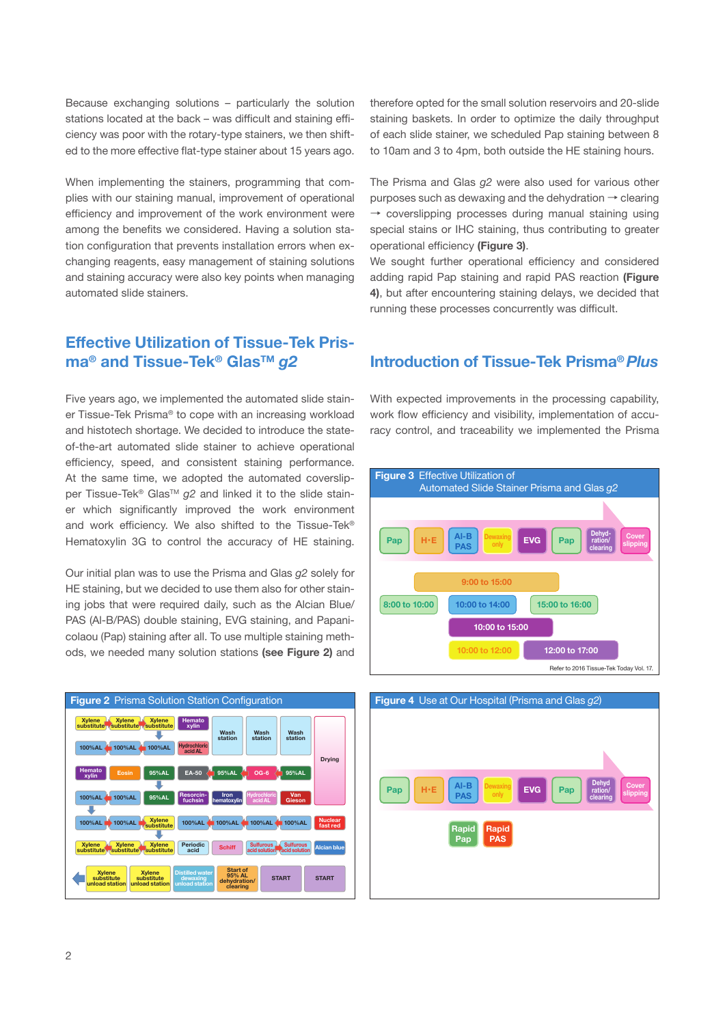Because exchanging solutions – particularly the solution stations located at the back – was difficult and staining efficiency was poor with the rotary-type stainers, we then shifted to the more effective flat-type stainer about 15 years ago.

When implementing the stainers, programming that complies with our staining manual, improvement of operational efficiency and improvement of the work environment were among the benefits we considered. Having a solution station configuration that prevents installation errors when exchanging reagents, easy management of staining solutions and staining accuracy were also key points when managing automated slide stainers.

### **Effective Utilization of Tissue-Tek Prisma® and Tissue-Tek® GlasTM** *g2*

Five years ago, we implemented the automated slide stainer Tissue-Tek Prisma® to cope with an increasing workload and histotech shortage. We decided to introduce the stateof-the-art automated slide stainer to achieve operational efficiency, speed, and consistent staining performance. At the same time, we adopted the automated coverslipper Tissue-Tek<sup>®</sup> Glas<sup>™</sup> g2 and linked it to the slide stainer which significantly improved the work environment and work efficiency. We also shifted to the Tissue-Tek® Hematoxylin 3G to control the accuracy of HE staining.

Our initial plan was to use the Prisma and Glas *g2* solely for HE staining, but we decided to use them also for other staining jobs that were required daily, such as the Alcian Blue/ PAS (Al-B/PAS) double staining, EVG staining, and Papanicolaou (Pap) staining after all. To use multiple staining methods, we needed many solution stations **(see Figure 2)** and



therefore opted for the small solution reservoirs and 20-slide staining baskets. In order to optimize the daily throughput of each slide stainer, we scheduled Pap staining between 8 to 10am and 3 to 4pm, both outside the HE staining hours.

The Prisma and Glas *g2* were also used for various other purposes such as dewaxing and the dehydration  $\rightarrow$  clearing  $\rightarrow$  coverslipping processes during manual staining using special stains or IHC staining, thus contributing to greater operational efficiency **(Figure 3)**.

We sought further operational efficiency and considered adding rapid Pap staining and rapid PAS reaction **(Figure 4)**, but after encountering staining delays, we decided that running these processes concurrently was difficult.

#### **Introduction of Tissue-Tek Prisma®** *Plus*

With expected improvements in the processing capability, work flow efficiency and visibility, implementation of accuracy control, and traceability we implemented the Prisma



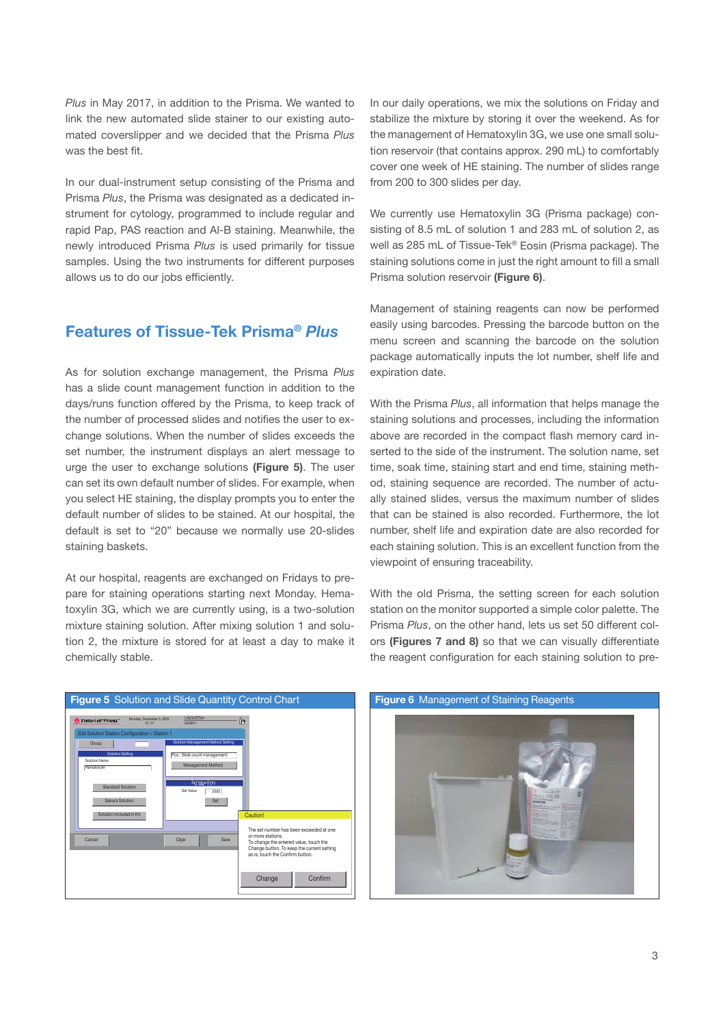*Plus* in May 2017, in addition to the Prisma. We wanted to link the new automated slide stainer to our existing automated coverslipper and we decided that the Prisma *Plus* was the best fit.

In our dual-instrument setup consisting of the Prisma and Prisma *Plus*, the Prisma was designated as a dedicated instrument for cytology, programmed to include regular and rapid Pap, PAS reaction and Al-B staining. Meanwhile, the newly introduced Prisma *Plus* is used primarily for tissue samples. Using the two instruments for different purposes allows us to do our jobs efficiently.

#### **Features of Tissue-Tek Prisma®** *Plus*

As for solution exchange management, the Prisma *Plus* has a slide count management function in addition to the days/runs function offered by the Prisma, to keep track of the number of processed slides and notifies the user to exchange solutions. When the number of slides exceeds the set number, the instrument displays an alert message to urge the user to exchange solutions **(Figure 5)**. The user can set its own default number of slides. For example, when you select HE staining, the display prompts you to enter the default number of slides to be stained. At our hospital, the default is set to "20" because we normally use 20-slides staining baskets.

At our hospital, reagents are exchanged on Fridays to prepare for staining operations starting next Monday. Hematoxylin 3G, which we are currently using, is a two-solution mixture staining solution. After mixing solution 1 and solution 2, the mixture is stored for at least a day to make it chemically stable.



In our daily operations, we mix the solutions on Friday and stabilize the mixture by storing it over the weekend. As for the management of Hematoxylin 3G, we use one small solution reservoir (that contains approx. 290 mL) to comfortably cover one week of HE staining. The number of slides range from 200 to 300 slides per day.

We currently use Hematoxylin 3G (Prisma package) consisting of 8.5 mL of solution 1 and 283 mL of solution 2, as well as 285 mL of Tissue-Tek® Eosin (Prisma package). The staining solutions come in just the right amount to fill a small Prisma solution reservoir **(Figure 6)**.

Management of staining reagents can now be performed easily using barcodes. Pressing the barcode button on the menu screen and scanning the barcode on the solution package automatically inputs the lot number, shelf life and expiration date.

With the Prisma *Plus*, all information that helps manage the staining solutions and processes, including the information above are recorded in the compact flash memory card inserted to the side of the instrument. The solution name, set time, soak time, staining start and end time, staining method, staining sequence are recorded. The number of actually stained slides, versus the maximum number of slides that can be stained is also recorded. Furthermore, the lot number, shelf life and expiration date are also recorded for each staining solution. This is an excellent function from the viewpoint of ensuring traceability.

With the old Prisma, the setting screen for each solution station on the monitor supported a simple color palette. The Prisma *Plus*, on the other hand, lets us set 50 different colors **(Figures 7 and 8)** so that we can visually differentiate the reagent configuration for each staining solution to pre-